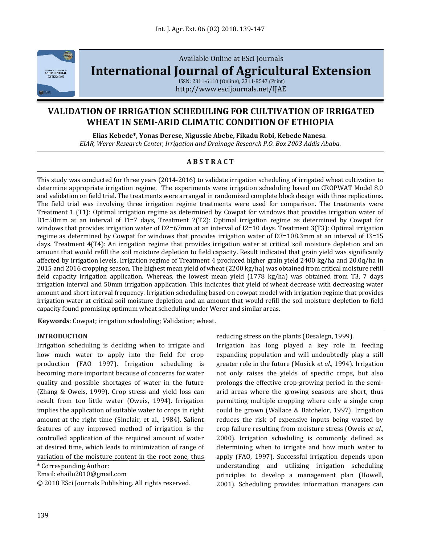

Available Online at ESci Journals

**[International Journal of Agricultural Extension](http://www.escijournals.net/IJER)**

ISSN: 2311-6110 (Online), 2311-8547 (Print) http://www.escijournals.net/IJAE

# **VALIDATION OF IRRIGATION SCHEDULING FOR CULTIVATION OF IRRIGATED WHEAT IN SEMI-ARID CLIMATIC CONDITION OF ETHIOPIA**

**Elias Kebede\*, Yonas Derese, Nigussie Abebe, Fikadu Robi, Kebede Nanesa** *EIAR, Werer Research Center, Irrigation and Drainage Research P.O. Box 2003 Addis Ababa.*

### **A B S T R A C T**

This study was conducted for three years (2014-2016) to validate irrigation scheduling of irrigated wheat cultivation to determine appropriate irrigation regime. The experiments were irrigation scheduling based on CROPWAT Model 8.0 and validation on field trial. The treatments were arranged in randomized complete block design with three replications. The field trial was involving three irrigation regime treatments were used for comparison. The treatments were Treatment 1 (T1): Optimal irrigation regime as determined by Cowpat for windows that provides irrigation water of D1=50mm at an interval of I1=7 days, Treatment 2(T2): Optimal irrigation regime as determined by Cowpat for windows that provides irrigation water of D2=67mm at an interval of I2=10 days. Treatment 3(T3): Optimal irrigation regime as determined by Cowpat for windows that provides irrigation water of D3=108.3mm at an interval of I3=15 days. Treatment 4(T4): An irrigation regime that provides irrigation water at critical soil moisture depletion and an amount that would refill the soil moisture depletion to field capacity. Result indicated that grain yield was significantly affected by irrigation levels. Irrigation regime of Treatment 4 produced higher grain yield 2400 kg/ha and 20.0q/ha in 2015 and 2016 cropping season. The highest mean yield of wheat (2200 kg/ha) was obtained from critical moisture refill field capacity irrigation application. Whereas, the lowest mean yield (1778 kg/ha) was obtained from T3, 7 days irrigation interval and 50mm irrigation application. This indicates that yield of wheat decrease with decreasing water amount and short interval frequency. Irrigation scheduling based on cowpat model with irrigation regime that provides irrigation water at critical soil moisture depletion and an amount that would refill the soil moisture depletion to field capacity found promising optimum wheat scheduling under Werer and similar areas.

**Keywords**: Cowpat; irrigation scheduling; Validation; wheat.

#### **INTRODUCTION**

Irrigation scheduling is deciding when to irrigate and how much water to apply into the field for crop production (FAO 1997). Irrigation scheduling is becoming more important because of concerns for water quality and possible shortages of water in the future (Zhang & Oweis, 1999). Crop stress and yield loss can result from too little water (Oweis, 1994). Irrigation implies the application of suitable water to crops in right amount at the right time (Sinclair, et al., 1984). Salient features of any improved method of irrigation is the controlled application of the required amount of water at desired time, which leads to minimization of range of variation of the moisture content in the root zone, thus

\* Corresponding Author:

Email: ehailu2010@gmail.com

© 2018 ESci Journals Publishing. All rights reserved.

reducing stress on the plants (Desalegn, 1999).

Irrigation has long played a key role in feeding expanding population and will undoubtedly play a still greater role in the future (Musick *et al.,* 1994). Irrigation not only raises the yields of specific crops, but also prolongs the effective crop-growing period in the semiarid areas where the growing seasons are short, thus permitting multiple cropping where only a single crop could be grown (Wallace & Batchelor, 1997). Irrigation reduces the risk of expensive inputs being wasted by crop failure resulting from moisture stress (Oweis *et al.,* 2000). Irrigation scheduling is commonly defined as determining when to irrigate and how much water to apply (FAO, 1997). Successful irrigation depends upon understanding and utilizing irrigation scheduling principles to develop a management plan (Howell, 2001). Scheduling provides information managers can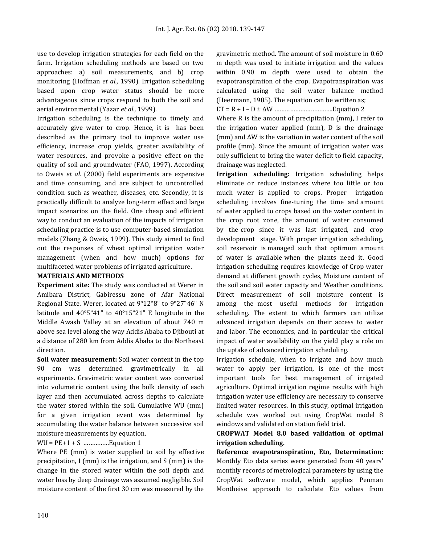use to develop irrigation strategies for each field on the farm. Irrigation scheduling methods are based on two approaches: a) soil measurements, and b) crop monitoring (Hoffman *et al.,* 1990). Irrigation scheduling based upon crop water status should be more advantageous since crops respond to both the soil and aerial environmental (Yazar *et al.,* 1999).

Irrigation scheduling is the technique to timely and accurately give water to crop. Hence, it is has been described as the primary tool to improve water use efficiency, increase crop yields, greater availability of water resources, and provoke a positive effect on the quality of soil and groundwater (FAO, 1997). According to Oweis *et al.* (2000) field experiments are expensive and time consuming, and are subject to uncontrolled condition such as weather, diseases, etc. Secondly, it is practically difficult to analyze long-term effect and large impact scenarios on the field. One cheap and efficient way to conduct an evaluation of the impacts of irrigation scheduling practice is to use computer-based simulation models (Zhang & Oweis, 1999). This study aimed to find out the responses of wheat optimal irrigation water management (when and how much) options for multifaceted water problems of irrigated agriculture.

#### **MATERIALS AND METHODS**

**Experiment site:** The study was conducted at Werer in Amibara District, Gabiressu zone of Afar National Regional State. Werer, located at 9°12"8" to 9°27"46" N latitude and 40°5"41" to 40°15"21" E longitude in the Middle Awash Valley at an elevation of about 740 m above sea level along the way Addis Ababa to Djibouti at a distance of 280 km from Addis Ababa to the Northeast direction.

**Soil water measurement:** Soil water content in the top 90 cm was determined gravimetrically in all experiments. Gravimetric water content was converted into volumetric content using the bulk density of each layer and then accumulated across depths to calculate the water stored within the soil. Cumulative WU (mm) for a given irrigation event was determined by accumulating the water balance between successive soil moisture measurements by equation.

#### WU = PE+ I + S ……………Equation 1

Where PE (mm) is water supplied to soil by effective precipitation, I (mm) is the irrigation, and S (mm) is the change in the stored water within the soil depth and water loss by deep drainage was assumed negligible. Soil moisture content of the first 30 cm was measured by the gravimetric method. The amount of soil moisture in 0.60 m depth was used to initiate irrigation and the values within 0.90 m depth were used to obtain the evapotranspiration of the crop. Evapotranspiration was calculated using the soil water balance method (Heermann, 1985). The equation can be written as;

ET = R + I – D ± ΔW …………………………….Equation 2

Where R is the amount of precipitation (mm), I refer to the irrigation water applied (mm), D is the drainage (mm) and ΔW is the variation in water content of the soil profile (mm). Since the amount of irrigation water was only sufficient to bring the water deficit to field capacity, drainage was neglected.

**Irrigation scheduling:** Irrigation scheduling helps eliminate or reduce instances where too little or too much water is applied to crops. Proper irrigation scheduling involves fine-tuning the time and amount of water applied to crops based on the water content in the crop root zone, the amount of water consumed by the crop since it was last irrigated, and crop development stage. With proper irrigation scheduling, soil reservoir is managed such that optimum amount of water is available when the plants need it. Good irrigation scheduling requires knowledge of Crop water demand at different growth cycles, Moisture content of the soil and soil water capacity and Weather conditions. Direct measurement of soil moisture content is among the most useful methods for irrigation scheduling. The extent to which farmers can utilize advanced irrigation depends on their access to water and labor. The economics, and in particular the critical impact of water availability on the yield play a role on the uptake of advanced irrigation scheduling.

Irrigation schedule, when to irrigate and how much water to apply per irrigation, is one of the most important tools for best management of irrigated agriculture. Optimal irrigation regime results with high irrigation water use efficiency are necessary to conserve limited water resources. In this study, optimal irrigation schedule was worked out using CropWat model 8 windows and validated on station field trial.

## **CROPWAT Model 8.0 based validation of optimal irrigation scheduling.**

**Reference evapotranspiration, Eto, Determination:** Monthly Eto data series were generated from 40 years' monthly records of metrological parameters by using the CropWat software model, which applies Penman Montheise approach to calculate Eto values from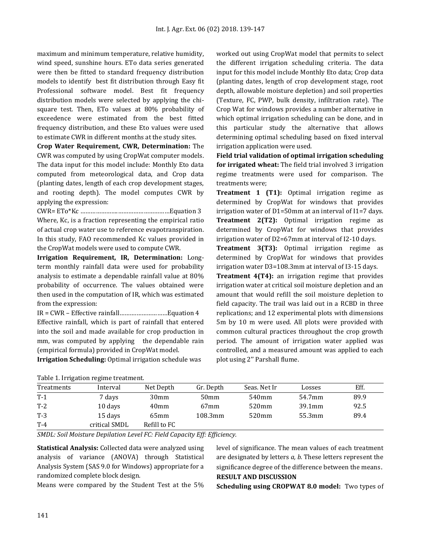maximum and minimum temperature, relative humidity, wind speed, sunshine hours. ETo data series generated were then be fitted to standard frequency distribution models to identify best fit distribution through Easy fit Professional software model. Best fit frequency distribution models were selected by applying the chisquare test. Then, ETo values at 80% probability of exceedence were estimated from the best fitted frequency distribution, and these Eto values were used to estimate CWR in different months at the study sites.

**Crop Water Requirement, CWR, Determination:** The CWR was computed by using CropWat computer models. The data input for this model include: Monthly Eto data computed from meteorological data, and Crop data (planting dates, length of each crop development stages, and rooting depth). The model computes CWR by applying the expression:

CWR= ETo\*Kc ………………….…………………………Equation 3 Where, Kc, is a fraction representing the empirical ratio of actual crop water use to reference evapotranspiration. In this study, FAO recommended Kc values provided in the CropWat models were used to compute CWR.

**Irrigation Requirement, IR, Determination:** Longterm monthly rainfall data were used for probability analysis to estimate a dependable rainfall value at 80% probability of occurrence. The values obtained were then used in the computation of IR, which was estimated from the expression:

IR = CWR – Effective rainfall……….………………Equation 4 Effective rainfall, which is part of rainfall that entered into the soil and made available for crop production in mm, was computed by applying the dependable rain (empirical formula) provided in CropWat model.

**Irrigation Scheduling:** Optimal irrigation schedule was

worked out using CropWat model that permits to select the different irrigation scheduling criteria. The data input for this model include Monthly Eto data; Crop data (planting dates, length of crop development stage, root depth, allowable moisture depletion) and soil properties (Texture, FC, PWP, bulk density, infiltration rate). The Crop Wat for windows provides a number alternative in which optimal irrigation scheduling can be done, and in this particular study the alternative that allows determining optimal scheduling based on fixed interval irrigation application were used.

**Field trial validation of optimal irrigation scheduling for irrigated wheat:** The field trial involved 3 irrigation regime treatments were used for comparison. The treatments were;

**Treatment 1 (T1):** Optimal irrigation regime as determined by CropWat for windows that provides irrigation water of D1=50mm at an interval of I1=7 days. **Treatment 2(T2):** Optimal irrigation regime as determined by CropWat for windows that provides irrigation water of D2=67mm at interval of I2-10 days.

**Treatment 3(T3):** Optimal irrigation regime as determined by CropWat for windows that provides irrigation water D3=108.3mm at interval of I3-15 days.

**Treatment 4(T4):** an irrigation regime that provides irrigation water at critical soil moisture depletion and an amount that would refill the soil moisture depletion to field capacity. The trail was laid out in a RCBD in three replications; and 12 experimental plots with dimensions 5m by 10 m were used. All plots were provided with common cultural practices throughout the crop growth period. The amount of irrigation water applied was controlled, and a measured amount was applied to each plot using 2'' Parshall flume.

| Table 1. III Igation regnite treatment. |               |                  |                  |              |        |      |  |  |  |
|-----------------------------------------|---------------|------------------|------------------|--------------|--------|------|--|--|--|
| Treatments                              | Interval      | Net Depth        | Gr. Depth        | Seas. Net Ir | Losses | Eff. |  |  |  |
| $T-1$                                   | 7 days        | 30 <sub>mm</sub> | 50 <sub>mm</sub> | 540mm        | 54.7mm | 89.9 |  |  |  |
| $T-2$                                   | 10 days       | 40 <sub>mm</sub> | $67$ mm          | 520mm        | 39.1mm | 92.5 |  |  |  |
| $T-3$                                   | 15 days       | $65$ mm          | 108.3mm          | 520mm        | 55.3mm | 89.4 |  |  |  |
| $T-4$                                   | critical SMDL | Refill to FC     |                  |              |        |      |  |  |  |

| Table 1. Irrigation regime treatment. |  |  |  |  |
|---------------------------------------|--|--|--|--|
|---------------------------------------|--|--|--|--|

*SMDL: Soil Moisture Depilation Level FC: Field Capacity Eff: Efficiency.*

**Statistical Analysis:** Collected data were analyzed using analysis of variance (ANOVA) through Statistical Analysis System (SAS 9.0 for Windows) appropriate for a randomized complete block design.

Means were compared by the Student Test at the 5%

level of significance. The mean values of each treatment are designated by letters *a, b.* These letters represent the significance degree of the difference between the means. **RESULT AND DISCUSSION**

**Scheduling using CROPWAT 8.0 model:** Two types of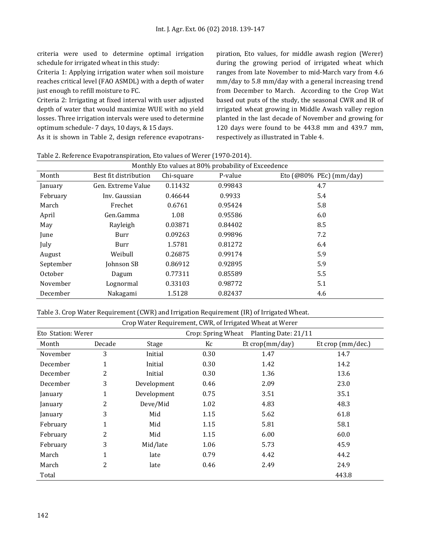criteria were used to determine optimal irrigation schedule for irrigated wheat in this study:

Criteria 1: Applying irrigation water when soil moisture reaches critical level (FAO ASMDL) with a depth of water just enough to refill moisture to FC.

Criteria 2: Irrigating at fixed interval with user adjusted depth of water that would maximize WUE with no yield losses. Three irrigation intervals were used to determine optimum schedule- 7 days, 10 days, & 15 days. As it is shown in Table 2, design reference evapotranspiration, Eto values, for middle awash region (Werer) during the growing period of irrigated wheat which ranges from late November to mid-March vary from 4.6 mm/day to 5.8 mm/day with a general increasing trend from December to March. According to the Crop Wat based out puts of the study, the seasonal CWR and IR of irrigated wheat growing in Middle Awash valley region planted in the last decade of November and growing for 120 days were found to be 443.8 mm and 439.7 mm, respectively as illustrated in Table 4.

Table 2. Reference Evapotranspiration, Eto values of Werer (1970-2014).

| Monthly Eto values at 80% probability of Exceedence |                       |            |         |                         |  |  |  |
|-----------------------------------------------------|-----------------------|------------|---------|-------------------------|--|--|--|
| Month                                               | Best fit distribution | Chi-square | P-value | Eto (@80% PEc) (mm/day) |  |  |  |
| January                                             | Gen. Extreme Value    | 0.11432    | 0.99843 | 4.7                     |  |  |  |
| February                                            | Inv. Gaussian         | 0.46644    | 0.9933  | 5.4                     |  |  |  |
| March                                               | Frechet               | 0.6761     | 0.95424 | 5.8                     |  |  |  |
| April                                               | Gen.Gamma             | 1.08       | 0.95586 | 6.0                     |  |  |  |
| May                                                 | Rayleigh              | 0.03871    | 0.84402 | 8.5                     |  |  |  |
| June                                                | Burr                  | 0.09263    | 0.99896 | 7.2                     |  |  |  |
| July                                                | Burr                  | 1.5781     | 0.81272 | 6.4                     |  |  |  |
| August                                              | Weibull               | 0.26875    | 0.99174 | 5.9                     |  |  |  |
| September                                           | Johnson SB            | 0.86912    | 0.92895 | 5.9                     |  |  |  |
| October                                             | Dagum                 | 0.77311    | 0.85589 | 5.5                     |  |  |  |
| November                                            | Lognormal             | 0.33103    | 0.98772 | 5.1                     |  |  |  |
| December                                            | Nakagami              | 1.5128     | 0.82437 | 4.6                     |  |  |  |

Table 3. Crop Water Requirement (CWR) and Irrigation Requirement (IR) of Irrigated Wheat.

|                    |              |             | Crop Water Requirement, CWR, of Irrigated Wheat at Werer |                      |                   |
|--------------------|--------------|-------------|----------------------------------------------------------|----------------------|-------------------|
| Eto Station: Werer |              |             | Crop: Spring Wheat                                       | Planting Date: 21/11 |                   |
| Month              | Decade       | Stage       | Kc                                                       | Et crop(mm/day)      | Et crop (mm/dec.) |
| November           | 3            | Initial     | 0.30                                                     | 1.47                 | 14.7              |
| December           | $\mathbf{1}$ | Initial     | 0.30                                                     | 1.42                 | 14.2              |
| December           | 2            | Initial     | 0.30                                                     | 1.36                 | 13.6              |
| December           | 3            | Development | 0.46                                                     | 2.09                 | 23.0              |
| January            | $\mathbf{1}$ | Development | 0.75                                                     | 3.51                 | 35.1              |
| January            | 2            | Deve/Mid    | 1.02                                                     | 4.83                 | 48.3              |
| January            | 3            | Mid         | 1.15                                                     | 5.62                 | 61.8              |
| February           | $\mathbf{1}$ | Mid         | 1.15                                                     | 5.81                 | 58.1              |
| February           | 2            | Mid         | 1.15                                                     | 6.00                 | 60.0              |
| February           | 3            | Mid/late    | 1.06                                                     | 5.73                 | 45.9              |
| March              | $\mathbf{1}$ | late        | 0.79                                                     | 4.42                 | 44.2              |
| March              | 2            | late        | 0.46                                                     | 2.49                 | 24.9              |
| Total              |              |             |                                                          |                      | 443.8             |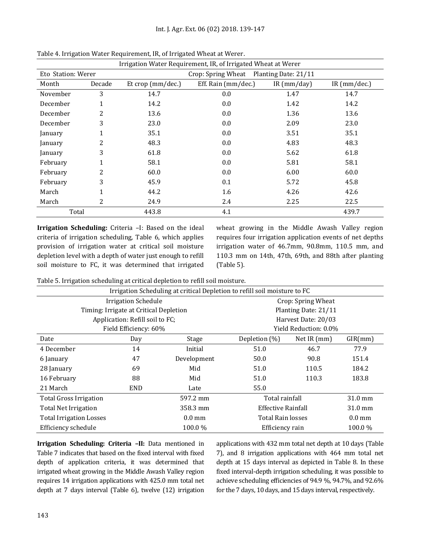| Irrigation Water Requirement, IR, of Irrigated Wheat at Werer |        |                     |                     |            |                |  |  |
|---------------------------------------------------------------|--------|---------------------|---------------------|------------|----------------|--|--|
| Eto Station: Werer<br>Crop: Spring Wheat Planting Date: 21/11 |        |                     |                     |            |                |  |  |
| Month                                                         | Decade | Et crop $(mm/dec.)$ | Eff. Rain (mm/dec.) | IR(mm/day) | IR $(mm/dec.)$ |  |  |
| November                                                      | 3      | 14.7                | 0.0                 | 1.47       | 14.7           |  |  |
| December                                                      | 1      | 14.2                | 0.0                 | 1.42       | 14.2           |  |  |
| December                                                      | 2      | 13.6                | 0.0                 | 1.36       | 13.6           |  |  |
| December                                                      | 3      | 23.0                | 0.0                 | 2.09       | 23.0           |  |  |
| January                                                       |        | 35.1                | 0.0                 | 3.51       | 35.1           |  |  |
| January                                                       | 2      | 48.3                | 0.0                 | 4.83       | 48.3           |  |  |
| January                                                       | 3      | 61.8                | 0.0                 | 5.62       | 61.8           |  |  |
| February                                                      |        | 58.1                | 0.0                 | 5.81       | 58.1           |  |  |
| February                                                      | 2      | 60.0                | 0.0                 | 6.00       | 60.0           |  |  |
| February                                                      | 3      | 45.9                | 0.1                 | 5.72       | 45.8           |  |  |
| March                                                         |        | 44.2                | 1.6                 | 4.26       | 42.6           |  |  |
| March                                                         | 2      | 24.9                | 2.4                 | 2.25       | 22.5           |  |  |
| Total                                                         |        | 443.8               | 4.1                 |            | 439.7          |  |  |

Table 4. Irrigation Water Requirement, IR, of Irrigated Wheat at Werer.

**Irrigation Scheduling:** Criteria –I: Based on the ideal criteria of irrigation scheduling, Table 6, which applies provision of irrigation water at critical soil moisture depletion level with a depth of water just enough to refill soil moisture to FC, it was determined that irrigated

wheat growing in the Middle Awash Valley region requires four irrigation application events of net depths irrigation water of 46.7mm, 90.8mm, 110.5 mm, and 110.3 mm on 14th, 47th, 69th, and 88th after planting (Table 5).

Table 5. Irrigation scheduling at critical depletion to refill soil moisture.

| Irrigation Scheduling at critical Depletion to refill soil moisture to FC |                                        |                  |                          |                       |                  |  |
|---------------------------------------------------------------------------|----------------------------------------|------------------|--------------------------|-----------------------|------------------|--|
|                                                                           | <b>Irrigation Schedule</b>             |                  |                          | Crop: Spring Wheat    |                  |  |
|                                                                           | Timing: Irrigate at Critical Depletion |                  |                          | Planting Date: 21/11  |                  |  |
|                                                                           | Application: Refill soil to FC;        |                  |                          | Harvest Date: 20/03   |                  |  |
|                                                                           | Field Efficiency: 60%                  |                  |                          | Yield Reduction: 0.0% |                  |  |
| Date                                                                      | Day                                    | Stage            | Depletion (%)            | Net IR (mm)           | GIR(mm)          |  |
| 4 December                                                                | 14                                     | Initial          | 51.0                     | 46.7                  | 77.9             |  |
| 6 January                                                                 | 47                                     | Development      | 50.0                     | 90.8                  | 151.4            |  |
| 28 January                                                                | 69                                     | Mid              | 51.0                     | 110.5                 | 184.2            |  |
| 16 February                                                               | 88                                     | Mid              | 51.0                     | 110.3                 | 183.8            |  |
| 21 March                                                                  | <b>END</b>                             | Late             | 55.0                     |                       |                  |  |
| <b>Total Gross Irrigation</b>                                             |                                        | 597.2 mm         | Total rainfall           |                       | 31.0 mm          |  |
| <b>Total Net Irrigation</b>                                               |                                        | 358.3 mm         | Effective Rainfall       |                       | 31.0 mm          |  |
| <b>Total Irrigation Losses</b>                                            |                                        | $0.0 \text{ mm}$ | <b>Total Rain losses</b> |                       | $0.0 \text{ mm}$ |  |
| Efficiency schedule                                                       |                                        | 100.0%           | Efficiency rain          |                       | 100.0%           |  |

**Irrigation Scheduling: Criteria –II:** Data mentioned in Table 7 indicates that based on the fixed interval with fixed depth of application criteria, it was determined that irrigated wheat growing in the Middle Awash Valley region requires 14 irrigation applications with 425.0 mm total net depth at 7 days interval (Table 6), twelve (12) irrigation

applications with 432 mm total net depth at 10 days (Table 7), and 8 irrigation applications with 464 mm total net depth at 15 days interval as depicted in Table 8. In these fixed interval-depth irrigation scheduling, it was possible to achieve scheduling efficiencies of 94.9 %, 94.7%, and 92.6% for the 7 days, 10 days, and 15 days interval, respectively.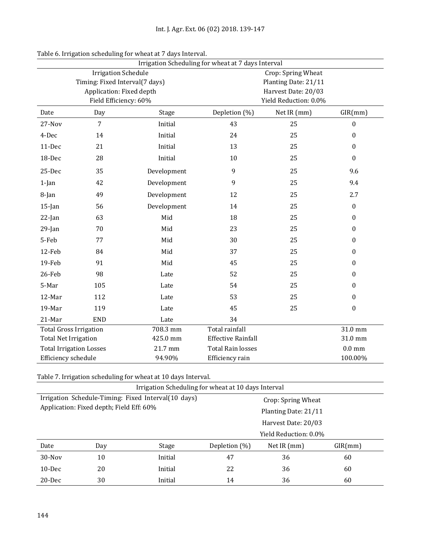| Irrigation Scheduling for wheat at 7 days Interval |                            |             |                           |                       |                  |
|----------------------------------------------------|----------------------------|-------------|---------------------------|-----------------------|------------------|
|                                                    | <b>Irrigation Schedule</b> |             |                           | Crop: Spring Wheat    |                  |
| Timing: Fixed Interval(7 days)                     |                            |             |                           | Planting Date: 21/11  |                  |
|                                                    | Application: Fixed depth   |             |                           | Harvest Date: 20/03   |                  |
|                                                    | Field Efficiency: 60%      |             |                           | Yield Reduction: 0.0% |                  |
| Date                                               | Day                        | Stage       | Depletion (%)             | Net IR (mm)           | GIR(mm)          |
| 27-Nov                                             | $\overline{7}$             | Initial     | 43                        | 25                    | $\boldsymbol{0}$ |
| 4-Dec                                              | 14                         | Initial     | 24                        | 25                    | $\boldsymbol{0}$ |
| 11-Dec                                             | 21                         | Initial     | 13                        | 25                    | $\boldsymbol{0}$ |
| 18-Dec                                             | 28                         | Initial     | 10                        | 25                    | $\boldsymbol{0}$ |
| 25-Dec                                             | 35                         | Development | 9                         | 25                    | 9.6              |
| $1$ -Jan                                           | 42                         | Development | 9                         | 25                    | 9.4              |
| 8-Jan                                              | 49                         | Development | 12                        | 25                    | 2.7              |
| $15$ -Jan                                          | 56                         | Development | 14                        | 25                    | $\boldsymbol{0}$ |
| $22$ -Jan                                          | 63                         | Mid         | 18                        | 25                    | $\boldsymbol{0}$ |
| $29$ -Jan                                          | 70                         | Mid         | 23                        | 25                    | $\boldsymbol{0}$ |
| 5-Feb                                              | 77                         | Mid         | 30                        | 25                    | $\boldsymbol{0}$ |
| 12-Feb                                             | 84                         | Mid         | 37                        | 25                    | $\boldsymbol{0}$ |
| 19-Feb                                             | 91                         | Mid         | 45                        | 25                    | 0                |
| 26-Feb                                             | 98                         | Late        | 52                        | 25                    | 0                |
| 5-Mar                                              | 105                        | Late        | 54                        | 25                    | 0                |
| 12-Mar                                             | 112                        | Late        | 53                        | 25                    | $\boldsymbol{0}$ |
| 19-Mar                                             | 119                        | Late        | 45                        | 25                    | $\boldsymbol{0}$ |
| 21-Mar                                             | <b>END</b>                 | Late        | 34                        |                       |                  |
| <b>Total Gross Irrigation</b>                      |                            | 708.3 mm    | <b>Total rainfall</b>     |                       | 31.0 mm          |
| <b>Total Net Irrigation</b>                        |                            | 425.0 mm    | <b>Effective Rainfall</b> |                       | 31.0 mm          |
| <b>Total Irrigation Losses</b>                     |                            | 21.7 mm     | <b>Total Rain losses</b>  |                       | $0.0 \text{ mm}$ |
| Efficiency schedule                                |                            | 94.90%      | Efficiency rain           |                       | 100.00%          |

| Table 6. Irrigation scheduling for wheat at 7 days Interval. |  |  |
|--------------------------------------------------------------|--|--|
|                                                              |  |  |
|                                                              |  |  |
|                                                              |  |  |

Table 7. Irrigation scheduling for wheat at 10 days Interval.

| Irrigation Scheduling for wheat at 10 days Interval |     |         |                      |                       |         |  |  |
|-----------------------------------------------------|-----|---------|----------------------|-----------------------|---------|--|--|
| Irrigation Schedule-Timing: Fixed Interval(10 days) |     |         |                      | Crop: Spring Wheat    |         |  |  |
| Application: Fixed depth; Field Eff: 60%            |     |         | Planting Date: 21/11 |                       |         |  |  |
|                                                     |     |         |                      | Harvest Date: 20/03   |         |  |  |
|                                                     |     |         |                      | Yield Reduction: 0.0% |         |  |  |
| Date                                                | Day | Stage   | Depletion (%)        | Net IR $(mm)$         | GIR(mm) |  |  |
| $30$ -Nov                                           | 10  | Initial | 47                   | 36                    | 60      |  |  |
| $10$ -Dec                                           | 20  | Initial | 22                   | 36                    | 60      |  |  |
| $20$ -Dec                                           | 30  | Initial | 14                   | 36                    | 60      |  |  |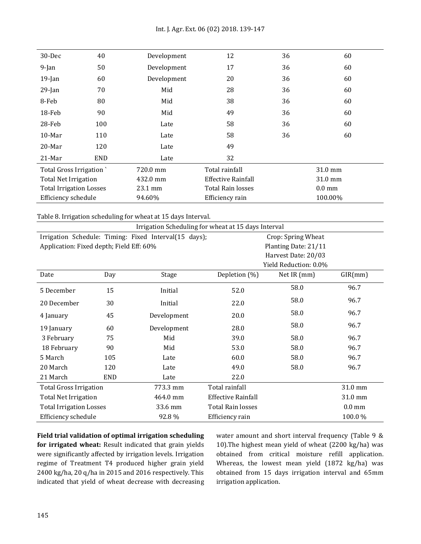| $30 - Dec$                     | 40         | Development | 12                       | 36 | 60               |
|--------------------------------|------------|-------------|--------------------------|----|------------------|
| $9$ -Jan                       | 50         | Development | 17                       | 36 | 60               |
| $19$ -Jan                      | 60         | Development | 20                       | 36 | 60               |
| $29$ -Jan                      | 70         | Mid         | 28                       | 36 | 60               |
| 8-Feb                          | 80         | Mid         | 38                       | 36 | 60               |
| $18$ -Feb                      | 90         | Mid         | 49                       | 36 | 60               |
| $28$ -Feb                      | 100        | Late        | 58                       | 36 | 60               |
| $10$ -Mar                      | 110        | Late        | 58                       | 36 | 60               |
| $20$ -Mar                      | 120        | Late        | 49                       |    |                  |
| $21$ -Mar                      | <b>END</b> | Late        | 32                       |    |                  |
| Total Gross Irrigation         |            | 720.0 mm    | Total rainfall           |    | 31.0 mm          |
| <b>Total Net Irrigation</b>    |            | 432.0 mm    | Effective Rainfall       |    | 31.0 mm          |
| <b>Total Irrigation Losses</b> |            | 23.1 mm     | <b>Total Rain losses</b> |    | $0.0 \text{ mm}$ |
| Efficiency schedule            |            | 94.60%      | Efficiency rain          |    | 100.00%          |

Table 8. Irrigation scheduling for wheat at 15 days Interval.

|                                          | Irrigation Scheduling for wheat at 15 days Interval |                                                       |                    |                       |                  |  |
|------------------------------------------|-----------------------------------------------------|-------------------------------------------------------|--------------------|-----------------------|------------------|--|
|                                          |                                                     | Irrigation Schedule: Timing: Fixed Interval(15 days); |                    | Crop: Spring Wheat    |                  |  |
| Application: Fixed depth; Field Eff: 60% |                                                     |                                                       |                    | Planting Date: 21/11  |                  |  |
|                                          |                                                     |                                                       |                    | Harvest Date: 20/03   |                  |  |
|                                          |                                                     |                                                       |                    | Yield Reduction: 0.0% |                  |  |
| Date                                     | Day                                                 | Stage                                                 | Depletion (%)      | Net IR (mm)           | GIR(mm)          |  |
| 5 December                               | 15                                                  | Initial                                               | 52.0               | 58.0                  | 96.7             |  |
| 20 December                              | 30                                                  | Initial                                               | 22.0               | 58.0                  | 96.7             |  |
| 4 January                                | 45                                                  | Development                                           | 20.0               | 58.0                  | 96.7             |  |
| 19 January                               | 60                                                  | Development                                           | 28.0               | 58.0                  | 96.7             |  |
| 3 February                               | 75                                                  | Mid                                                   | 39.0               | 58.0                  | 96.7             |  |
| 18 February                              | 90                                                  | Mid                                                   | 53.0               | 58.0                  | 96.7             |  |
| 5 March                                  | 105                                                 | Late                                                  | 60.0               | 58.0                  | 96.7             |  |
| 20 March                                 | 120                                                 | Late                                                  | 49.0               | 58.0                  | 96.7             |  |
| 21 March                                 | <b>END</b>                                          | Late                                                  | 22.0               |                       |                  |  |
| <b>Total Gross Irrigation</b>            |                                                     | 773.3 mm                                              | Total rainfall     |                       | 31.0 mm          |  |
| <b>Total Net Irrigation</b>              |                                                     | 464.0 mm                                              | Effective Rainfall |                       | 31.0 mm          |  |
| <b>Total Irrigation Losses</b>           |                                                     | 33.6 mm                                               | Total Rain losses  |                       | $0.0 \text{ mm}$ |  |
| Efficiency schedule                      |                                                     | 92.8%                                                 | Efficiency rain    |                       | 100.0%           |  |

**Field trial validation of optimal irrigation scheduling for irrigated wheat:** Result indicated that grain yields were significantly affected by irrigation levels. Irrigation regime of Treatment T4 produced higher grain yield 2400 kg/ha, 20 q/ha in 2015 and 2016 respectively. This indicated that yield of wheat decrease with decreasing water amount and short interval frequency (Table 9 & 10).The highest mean yield of wheat (2200 kg/ha) was obtained from critical moisture refill application. Whereas, the lowest mean yield (1872 kg/ha) was obtained from 15 days irrigation interval and 65mm irrigation application.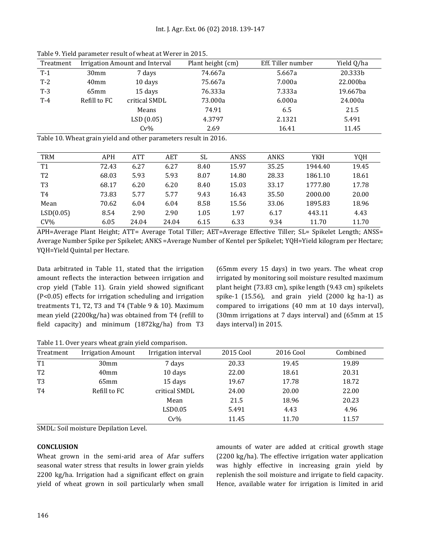| Treatment |                  | Irrigation Amount and Interval | Plant height (cm) | Eff. Tiller number | Yield Q/ha |
|-----------|------------------|--------------------------------|-------------------|--------------------|------------|
| $T-1$     | 30 <sub>mm</sub> | 7 days                         | 74.667a           | 5.667a             | 20.333b    |
| $T-2$     | 40 <sub>mm</sub> | 10 days                        | 75.667a           | 7.000a             | 22.000ba   |
| $T-3$     | 65 <sub>mm</sub> | 15 days                        | 76.333a           | 7.333a             | 19.667ba   |
| $T-4$     | Refill to FC     | critical SMDL                  | 73.000a           | 6.000a             | 24.000a    |
|           |                  | Means                          | 74.91             | 6.5                | 21.5       |
|           |                  | LSD(0.05)                      | 4.3797            | 2.1321             | 5.491      |
|           |                  | $Cv\%$                         | 2.69              | 16.41              | 11.45      |

Table 9. Yield parameter result of wheat at Werer in 2015.

Table 10. Wheat grain yield and other parameters result in 2016.

| <b>TRM</b>     | <b>APH</b> | <b>ATT</b> | AET   | <b>SL</b> | ANSS  | ANKS  | YKH     | YQH   |
|----------------|------------|------------|-------|-----------|-------|-------|---------|-------|
| T <sub>1</sub> | 72.43      | 6.27       | 6.27  | 8.40      | 15.97 | 35.25 | 1944.40 | 19.45 |
| T <sub>2</sub> | 68.03      | 5.93       | 5.93  | 8.07      | 14.80 | 28.33 | 1861.10 | 18.61 |
| T <sub>3</sub> | 68.17      | 6.20       | 6.20  | 8.40      | 15.03 | 33.17 | 1777.80 | 17.78 |
| T <sub>4</sub> | 73.83      | 5.77       | 5.77  | 9.43      | 16.43 | 35.50 | 2000.00 | 20.00 |
| Mean           | 70.62      | 6.04       | 6.04  | 8.58      | 15.56 | 33.06 | 1895.83 | 18.96 |
| LSD(0.05)      | 8.54       | 2.90       | 2.90  | 1.05      | 1.97  | 6.17  | 443.11  | 4.43  |
| $CV\%$         | 6.05       | 24.04      | 24.04 | 6.15      | 6.33  | 9.34  | 11.70   | 11.70 |

APH=Average Plant Height; ATT= Average Total Tiller; AET=Average Effective Tiller; SL= Spikelet Length; ANSS= Average Number Spike per Spikelet; ANKS =Average Number of Kentel per Spikelet; YQH=Yield kilogram per Hectare; YQH=Yield Quintal per Hectare.

Data arbitrated in Table 11, stated that the irrigation amount reflects the interaction between irrigation and crop yield (Table 11). Grain yield showed significant (P<0.05) effects for irrigation scheduling and irrigation treatments T1, T2, T3 and T4 (Table 9 & 10). Maximum mean yield (2200kg/ha) was obtained from T4 (refill to field capacity) and minimum (1872kg/ha) from T3 (65mm every 15 days) in two years. The wheat crop irrigated by monitoring soil moisture resulted maximum plant height (73.83 cm), spike length (9.43 cm) spikelets spike-1 (15.56), and grain yield (2000 kg ha-1) as compared to irrigations (40 mm at 10 days interval), (30mm irrigations at 7 days interval) and (65mm at 15 days interval) in 2015.

Table 11. Over years wheat grain yield comparison.

| Treatment      | <b>Irrigation Amount</b> | Irrigation interval | 2015 Cool | 2016 Cool | Combined |
|----------------|--------------------------|---------------------|-----------|-----------|----------|
| T <sub>1</sub> | 30 <sub>mm</sub>         | 7 days              | 20.33     | 19.45     | 19.89    |
| T <sub>2</sub> | 40mm                     | 10 days             | 22.00     | 18.61     | 20.31    |
| T <sub>3</sub> | $65$ mm                  | 15 days             | 19.67     | 17.78     | 18.72    |
| T <sub>4</sub> | Refill to FC             | critical SMDL       | 24.00     | 20.00     | 22.00    |
|                |                          | Mean                | 21.5      | 18.96     | 20.23    |
|                |                          | LSD0.05             | 5.491     | 4.43      | 4.96     |
|                |                          | $Cv\%$              | 11.45     | 11.70     | 11.57    |

SMDL: Soil moisture Depilation Level.

## **CONCLUSION**

Wheat grown in the semi-arid area of Afar suffers seasonal water stress that results in lower grain yields 2200 kg/ha. Irrigation had a significant effect on grain yield of wheat grown in soil particularly when small amounts of water are added at critical growth stage (2200 kg/ha). The effective irrigation water application was highly effective in increasing grain yield by replenish the soil moisture and irrigate to field capacity. Hence, available water for irrigation is limited in arid